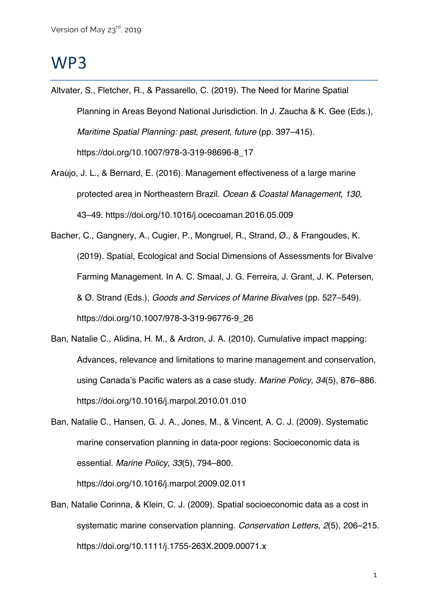## WP3

- Altvater, S., Fletcher, R., & Passarello, C. (2019). The Need for Marine Spatial Planning in Areas Beyond National Jurisdiction. In J. Zaucha & K. Gee (Eds.), *Maritime Spatial Planning: past, present, future* (pp. 397–415). https://doi.org/10.1007/978-3-319-98696-8\_17
- Araújo, J. L., & Bernard, E. (2016). Management effectiveness of a large marine protected area in Northeastern Brazil. *Ocean & Coastal Management*, *130*, 43–49. https://doi.org/10.1016/j.ocecoaman.2016.05.009
- Bacher, C., Gangnery, A., Cugier, P., Mongruel, R., Strand, Ø., & Frangoudes, K. (2019). Spatial, Ecological and Social Dimensions of Assessments for Bivalve Farming Management. In A. C. Smaal, J. G. Ferreira, J. Grant, J. K. Petersen, & Ø. Strand (Eds.), *Goods and Services of Marine Bivalves* (pp. 527–549). https://doi.org/10.1007/978-3-319-96776-9\_26
- Ban, Natalie C., Alidina, H. M., & Ardron, J. A. (2010). Cumulative impact mapping: Advances, relevance and limitations to marine management and conservation, using Canada's Pacific waters as a case study. *Marine Policy*, *34*(5), 876–886. https://doi.org/10.1016/j.marpol.2010.01.010
- Ban, Natalie C., Hansen, G. J. A., Jones, M., & Vincent, A. C. J. (2009). Systematic marine conservation planning in data-poor regions: Socioeconomic data is essential. *Marine Policy*, *33*(5), 794–800.

https://doi.org/10.1016/j.marpol.2009.02.011

Ban, Natalie Corinna, & Klein, C. J. (2009). Spatial socioeconomic data as a cost in systematic marine conservation planning. *Conservation Letters*, *2*(5), 206–215. https://doi.org/10.1111/j.1755-263X.2009.00071.x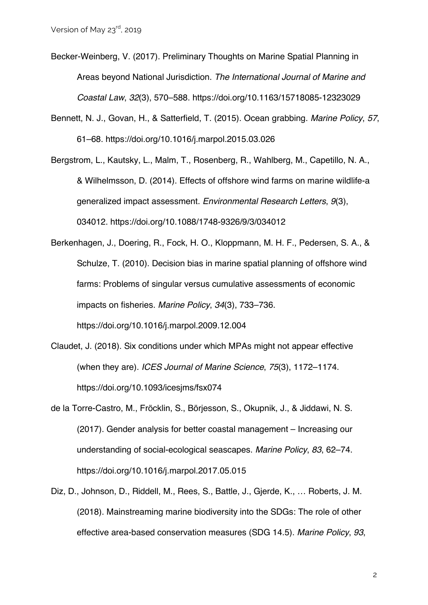- Becker-Weinberg, V. (2017). Preliminary Thoughts on Marine Spatial Planning in Areas beyond National Jurisdiction. *The International Journal of Marine and Coastal Law*, *32*(3), 570–588. https://doi.org/10.1163/15718085-12323029
- Bennett, N. J., Govan, H., & Satterfield, T. (2015). Ocean grabbing. *Marine Policy*, *57*, 61–68. https://doi.org/10.1016/j.marpol.2015.03.026
- Bergstrom, L., Kautsky, L., Malm, T., Rosenberg, R., Wahlberg, M., Capetillo, N. A., & Wilhelmsson, D. (2014). Effects of offshore wind farms on marine wildlife-a generalized impact assessment. *Environmental Research Letters*, *9*(3), 034012. https://doi.org/10.1088/1748-9326/9/3/034012

Berkenhagen, J., Doering, R., Fock, H. O., Kloppmann, M. H. F., Pedersen, S. A., & Schulze, T. (2010). Decision bias in marine spatial planning of offshore wind farms: Problems of singular versus cumulative assessments of economic impacts on fisheries. *Marine Policy*, *34*(3), 733–736. https://doi.org/10.1016/j.marpol.2009.12.004

- Claudet, J. (2018). Six conditions under which MPAs might not appear effective (when they are). *ICES Journal of Marine Science*, *75*(3), 1172–1174. https://doi.org/10.1093/icesjms/fsx074
- de la Torre-Castro, M., Fröcklin, S., Börjesson, S., Okupnik, J., & Jiddawi, N. S. (2017). Gender analysis for better coastal management – Increasing our understanding of social-ecological seascapes. *Marine Policy*, *83*, 62–74. https://doi.org/10.1016/j.marpol.2017.05.015
- Diz, D., Johnson, D., Riddell, M., Rees, S., Battle, J., Gjerde, K., … Roberts, J. M. (2018). Mainstreaming marine biodiversity into the SDGs: The role of other effective area-based conservation measures (SDG 14.5). *Marine Policy*, *93*,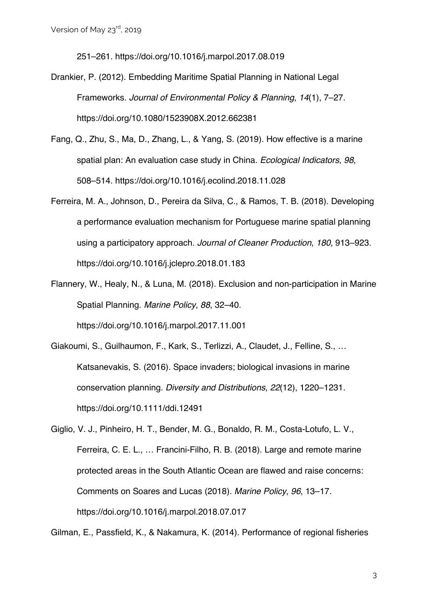251–261. https://doi.org/10.1016/j.marpol.2017.08.019

- Drankier, P. (2012). Embedding Maritime Spatial Planning in National Legal Frameworks. *Journal of Environmental Policy & Planning*, *14*(1), 7–27. https://doi.org/10.1080/1523908X.2012.662381
- Fang, Q., Zhu, S., Ma, D., Zhang, L., & Yang, S. (2019). How effective is a marine spatial plan: An evaluation case study in China. *Ecological Indicators*, *98*, 508–514. https://doi.org/10.1016/j.ecolind.2018.11.028
- Ferreira, M. A., Johnson, D., Pereira da Silva, C., & Ramos, T. B. (2018). Developing a performance evaluation mechanism for Portuguese marine spatial planning using a participatory approach. *Journal of Cleaner Production*, *180*, 913–923. https://doi.org/10.1016/j.jclepro.2018.01.183
- Flannery, W., Healy, N., & Luna, M. (2018). Exclusion and non-participation in Marine Spatial Planning. *Marine Policy*, *88*, 32–40.

https://doi.org/10.1016/j.marpol.2017.11.001

- Giakoumi, S., Guilhaumon, F., Kark, S., Terlizzi, A., Claudet, J., Felline, S., … Katsanevakis, S. (2016). Space invaders; biological invasions in marine conservation planning. *Diversity and Distributions*, *22*(12), 1220–1231. https://doi.org/10.1111/ddi.12491
- Giglio, V. J., Pinheiro, H. T., Bender, M. G., Bonaldo, R. M., Costa-Lotufo, L. V., Ferreira, C. E. L., … Francini-Filho, R. B. (2018). Large and remote marine protected areas in the South Atlantic Ocean are flawed and raise concerns: Comments on Soares and Lucas (2018). *Marine Policy*, *96*, 13–17. https://doi.org/10.1016/j.marpol.2018.07.017

Gilman, E., Passfield, K., & Nakamura, K. (2014). Performance of regional fisheries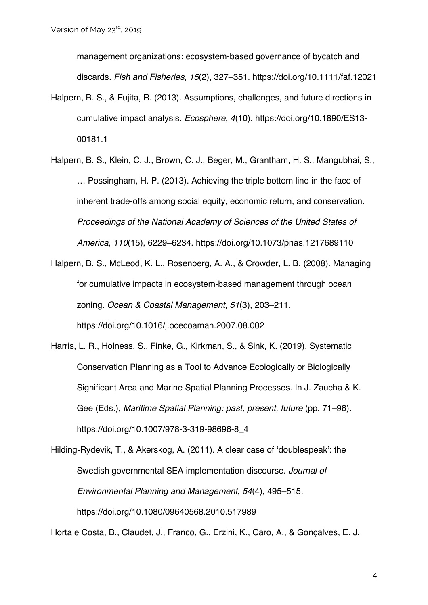management organizations: ecosystem-based governance of bycatch and discards. *Fish and Fisheries*, *15*(2), 327–351. https://doi.org/10.1111/faf.12021

- Halpern, B. S., & Fujita, R. (2013). Assumptions, challenges, and future directions in cumulative impact analysis. *Ecosphere*, *4*(10). https://doi.org/10.1890/ES13- 00181.1
- Halpern, B. S., Klein, C. J., Brown, C. J., Beger, M., Grantham, H. S., Mangubhai, S., … Possingham, H. P. (2013). Achieving the triple bottom line in the face of inherent trade-offs among social equity, economic return, and conservation. *Proceedings of the National Academy of Sciences of the United States of America*, *110*(15), 6229–6234. https://doi.org/10.1073/pnas.1217689110
- Halpern, B. S., McLeod, K. L., Rosenberg, A. A., & Crowder, L. B. (2008). Managing for cumulative impacts in ecosystem-based management through ocean zoning. *Ocean & Coastal Management*, *51*(3), 203–211. https://doi.org/10.1016/j.ocecoaman.2007.08.002
- Harris, L. R., Holness, S., Finke, G., Kirkman, S., & Sink, K. (2019). Systematic Conservation Planning as a Tool to Advance Ecologically or Biologically Significant Area and Marine Spatial Planning Processes. In J. Zaucha & K. Gee (Eds.), *Maritime Spatial Planning: past, present, future* (pp. 71–96). https://doi.org/10.1007/978-3-319-98696-8\_4

Hilding-Rydevik, T., & Akerskog, A. (2011). A clear case of 'doublespeak': the Swedish governmental SEA implementation discourse. *Journal of Environmental Planning and Management*, *54*(4), 495–515. https://doi.org/10.1080/09640568.2010.517989

Horta e Costa, B., Claudet, J., Franco, G., Erzini, K., Caro, A., & Gonçalves, E. J.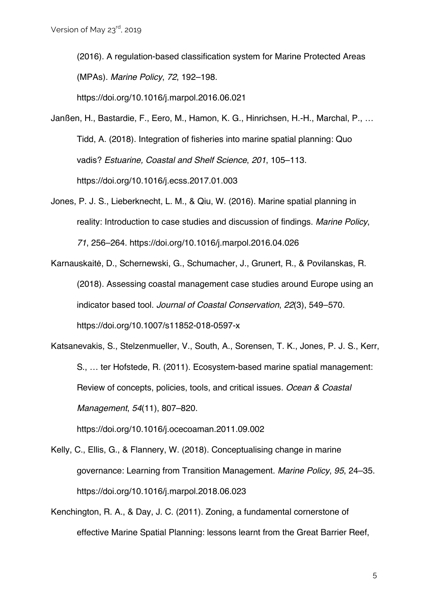(2016). A regulation-based classification system for Marine Protected Areas (MPAs). *Marine Policy*, *72*, 192–198.

https://doi.org/10.1016/j.marpol.2016.06.021

- Janßen, H., Bastardie, F., Eero, M., Hamon, K. G., Hinrichsen, H.-H., Marchal, P., … Tidd, A. (2018). Integration of fisheries into marine spatial planning: Quo vadis? *Estuarine, Coastal and Shelf Science*, *201*, 105–113. https://doi.org/10.1016/j.ecss.2017.01.003
- Jones, P. J. S., Lieberknecht, L. M., & Qiu, W. (2016). Marine spatial planning in reality: Introduction to case studies and discussion of findings. *Marine Policy*, *71*, 256–264. https://doi.org/10.1016/j.marpol.2016.04.026

Karnauskaitė, D., Schernewski, G., Schumacher, J., Grunert, R., & Povilanskas, R. (2018). Assessing coastal management case studies around Europe using an indicator based tool. *Journal of Coastal Conservation*, *22*(3), 549–570. https://doi.org/10.1007/s11852-018-0597-x

Katsanevakis, S., Stelzenmueller, V., South, A., Sorensen, T. K., Jones, P. J. S., Kerr, S., … ter Hofstede, R. (2011). Ecosystem-based marine spatial management: Review of concepts, policies, tools, and critical issues. *Ocean & Coastal Management*, *54*(11), 807–820.

https://doi.org/10.1016/j.ocecoaman.2011.09.002

- Kelly, C., Ellis, G., & Flannery, W. (2018). Conceptualising change in marine governance: Learning from Transition Management. *Marine Policy*, *95*, 24–35. https://doi.org/10.1016/j.marpol.2018.06.023
- Kenchington, R. A., & Day, J. C. (2011). Zoning, a fundamental cornerstone of effective Marine Spatial Planning: lessons learnt from the Great Barrier Reef,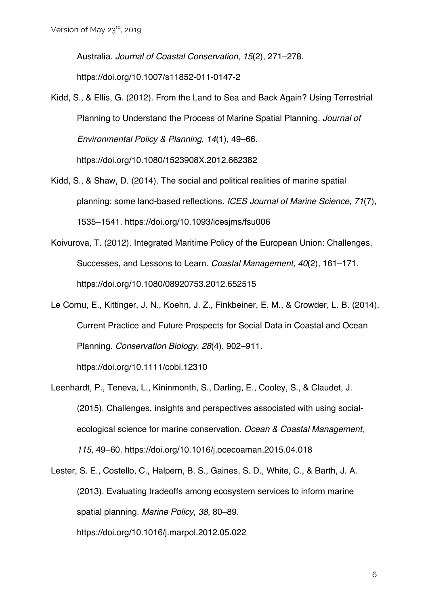Australia. *Journal of Coastal Conservation*, *15*(2), 271–278. https://doi.org/10.1007/s11852-011-0147-2

- Kidd, S., & Ellis, G. (2012). From the Land to Sea and Back Again? Using Terrestrial Planning to Understand the Process of Marine Spatial Planning. *Journal of Environmental Policy & Planning*, *14*(1), 49–66. https://doi.org/10.1080/1523908X.2012.662382
- Kidd, S., & Shaw, D. (2014). The social and political realities of marine spatial planning: some land-based reflections. *ICES Journal of Marine Science*, *71*(7), 1535–1541. https://doi.org/10.1093/icesjms/fsu006
- Koivurova, T. (2012). Integrated Maritime Policy of the European Union: Challenges, Successes, and Lessons to Learn. *Coastal Management*, *40*(2), 161–171. https://doi.org/10.1080/08920753.2012.652515
- Le Cornu, E., Kittinger, J. N., Koehn, J. Z., Finkbeiner, E. M., & Crowder, L. B. (2014). Current Practice and Future Prospects for Social Data in Coastal and Ocean Planning. *Conservation Biology*, *28*(4), 902–911.

https://doi.org/10.1111/cobi.12310

- Leenhardt, P., Teneva, L., Kininmonth, S., Darling, E., Cooley, S., & Claudet, J. (2015). Challenges, insights and perspectives associated with using socialecological science for marine conservation. *Ocean & Coastal Management*, *115*, 49–60. https://doi.org/10.1016/j.ocecoaman.2015.04.018
- Lester, S. E., Costello, C., Halpern, B. S., Gaines, S. D., White, C., & Barth, J. A. (2013). Evaluating tradeoffs among ecosystem services to inform marine spatial planning. *Marine Policy*, *38*, 80–89. https://doi.org/10.1016/j.marpol.2012.05.022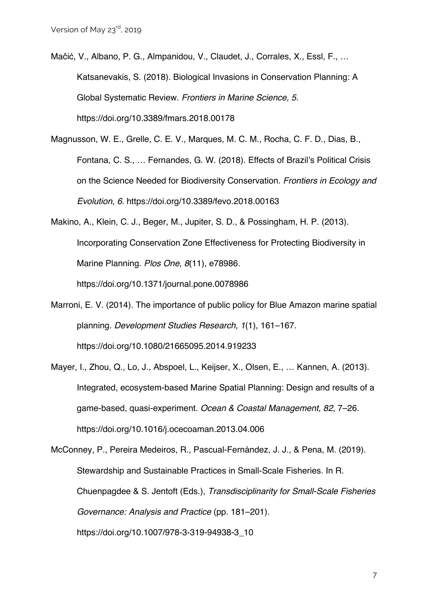- Mačić, V., Albano, P. G., Almpanidou, V., Claudet, J., Corrales, X., Essl, F., … Katsanevakis, S. (2018). Biological Invasions in Conservation Planning: A Global Systematic Review. *Frontiers in Marine Science*, *5*. https://doi.org/10.3389/fmars.2018.00178
- Magnusson, W. E., Grelle, C. E. V., Marques, M. C. M., Rocha, C. F. D., Dias, B., Fontana, C. S., … Fernandes, G. W. (2018). Effects of Brazil's Political Crisis on the Science Needed for Biodiversity Conservation. *Frontiers in Ecology and Evolution*, *6*. https://doi.org/10.3389/fevo.2018.00163
- Makino, A., Klein, C. J., Beger, M., Jupiter, S. D., & Possingham, H. P. (2013). Incorporating Conservation Zone Effectiveness for Protecting Biodiversity in Marine Planning. *Plos One*, *8*(11), e78986. https://doi.org/10.1371/journal.pone.0078986
- Marroni, E. V. (2014). The importance of public policy for Blue Amazon marine spatial planning. *Development Studies Research*, *1*(1), 161–167. https://doi.org/10.1080/21665095.2014.919233
- Mayer, I., Zhou, Q., Lo, J., Abspoel, L., Keijser, X., Olsen, E., … Kannen, A. (2013). Integrated, ecosystem-based Marine Spatial Planning: Design and results of a game-based, quasi-experiment. *Ocean & Coastal Management*, *82*, 7–26. https://doi.org/10.1016/j.ocecoaman.2013.04.006
- McConney, P., Pereira Medeiros, R., Pascual-Fernández, J. J., & Pena, M. (2019). Stewardship and Sustainable Practices in Small-Scale Fisheries. In R. Chuenpagdee & S. Jentoft (Eds.), *Transdisciplinarity for Small-Scale Fisheries Governance: Analysis and Practice* (pp. 181–201). https://doi.org/10.1007/978-3-319-94938-3\_10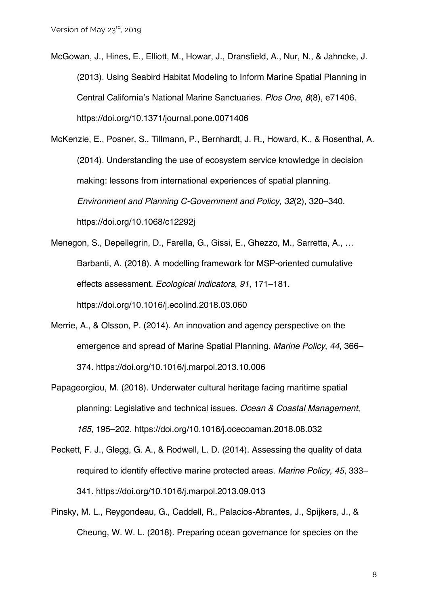McGowan, J., Hines, E., Elliott, M., Howar, J., Dransfield, A., Nur, N., & Jahncke, J. (2013). Using Seabird Habitat Modeling to Inform Marine Spatial Planning in Central California's National Marine Sanctuaries. *Plos One*, *8*(8), e71406. https://doi.org/10.1371/journal.pone.0071406

McKenzie, E., Posner, S., Tillmann, P., Bernhardt, J. R., Howard, K., & Rosenthal, A. (2014). Understanding the use of ecosystem service knowledge in decision making: lessons from international experiences of spatial planning. *Environment and Planning C-Government and Policy*, *32*(2), 320–340. https://doi.org/10.1068/c12292j

Menegon, S., Depellegrin, D., Farella, G., Gissi, E., Ghezzo, M., Sarretta, A., … Barbanti, A. (2018). A modelling framework for MSP-oriented cumulative effects assessment. *Ecological Indicators*, *91*, 171–181. https://doi.org/10.1016/j.ecolind.2018.03.060

- Merrie, A., & Olsson, P. (2014). An innovation and agency perspective on the emergence and spread of Marine Spatial Planning. *Marine Policy*, *44*, 366– 374. https://doi.org/10.1016/j.marpol.2013.10.006
- Papageorgiou, M. (2018). Underwater cultural heritage facing maritime spatial planning: Legislative and technical issues. *Ocean & Coastal Management*, *165*, 195–202. https://doi.org/10.1016/j.ocecoaman.2018.08.032
- Peckett, F. J., Glegg, G. A., & Rodwell, L. D. (2014). Assessing the quality of data required to identify effective marine protected areas. *Marine Policy*, *45*, 333– 341. https://doi.org/10.1016/j.marpol.2013.09.013
- Pinsky, M. L., Reygondeau, G., Caddell, R., Palacios-Abrantes, J., Spijkers, J., & Cheung, W. W. L. (2018). Preparing ocean governance for species on the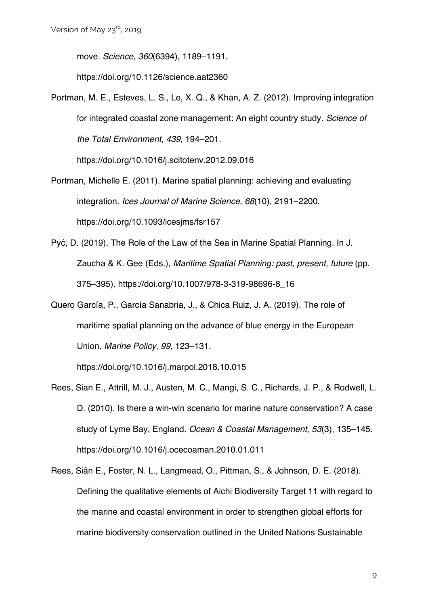move. *Science*, *360*(6394), 1189–1191.

https://doi.org/10.1126/science.aat2360

Portman, M. E., Esteves, L. S., Le, X. Q., & Khan, A. Z. (2012). Improving integration for integrated coastal zone management: An eight country study. *Science of the Total Environment*, *439*, 194–201.

https://doi.org/10.1016/j.scitotenv.2012.09.016

- Portman, Michelle E. (2011). Marine spatial planning: achieving and evaluating integration. *Ices Journal of Marine Science*, *68*(10), 2191–2200. https://doi.org/10.1093/icesjms/fsr157
- Pyć, D. (2019). The Role of the Law of the Sea in Marine Spatial Planning. In J. Zaucha & K. Gee (Eds.), *Maritime Spatial Planning: past, present, future* (pp. 375–395). https://doi.org/10.1007/978-3-319-98696-8\_16
- Quero García, P., García Sanabria, J., & Chica Ruiz, J. A. (2019). The role of maritime spatial planning on the advance of blue energy in the European Union. *Marine Policy*, *99*, 123–131.

https://doi.org/10.1016/j.marpol.2018.10.015

- Rees, Sian E., Attrill, M. J., Austen, M. C., Mangi, S. C., Richards, J. P., & Rodwell, L. D. (2010). Is there a win-win scenario for marine nature conservation? A case study of Lyme Bay, England. *Ocean & Coastal Management*, *53*(3), 135–145. https://doi.org/10.1016/j.ocecoaman.2010.01.011
- Rees, Siân E., Foster, N. L., Langmead, O., Pittman, S., & Johnson, D. E. (2018). Defining the qualitative elements of Aichi Biodiversity Target 11 with regard to the marine and coastal environment in order to strengthen global efforts for marine biodiversity conservation outlined in the United Nations Sustainable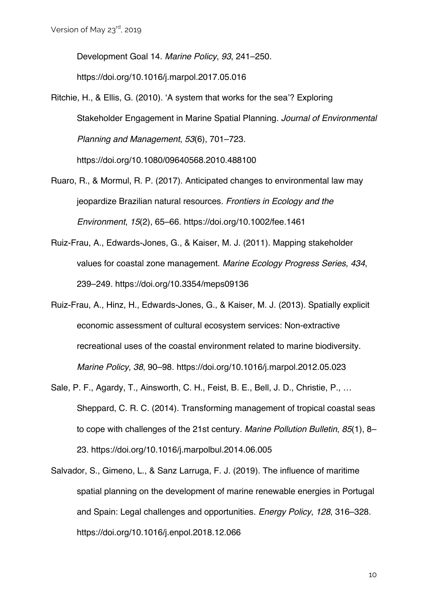Development Goal 14. *Marine Policy*, *93*, 241–250.

https://doi.org/10.1016/j.marpol.2017.05.016

- Ritchie, H., & Ellis, G. (2010). 'A system that works for the sea'? Exploring Stakeholder Engagement in Marine Spatial Planning. *Journal of Environmental Planning and Management*, *53*(6), 701–723. https://doi.org/10.1080/09640568.2010.488100
- Ruaro, R., & Mormul, R. P. (2017). Anticipated changes to environmental law may jeopardize Brazilian natural resources. *Frontiers in Ecology and the Environment*, *15*(2), 65–66. https://doi.org/10.1002/fee.1461
- Ruiz-Frau, A., Edwards-Jones, G., & Kaiser, M. J. (2011). Mapping stakeholder values for coastal zone management. *Marine Ecology Progress Series*, *434*, 239–249. https://doi.org/10.3354/meps09136
- Ruiz-Frau, A., Hinz, H., Edwards-Jones, G., & Kaiser, M. J. (2013). Spatially explicit economic assessment of cultural ecosystem services: Non-extractive recreational uses of the coastal environment related to marine biodiversity. *Marine Policy*, *38*, 90–98. https://doi.org/10.1016/j.marpol.2012.05.023
- Sale, P. F., Agardy, T., Ainsworth, C. H., Feist, B. E., Bell, J. D., Christie, P., … Sheppard, C. R. C. (2014). Transforming management of tropical coastal seas to cope with challenges of the 21st century. *Marine Pollution Bulletin*, *85*(1), 8– 23. https://doi.org/10.1016/j.marpolbul.2014.06.005
- Salvador, S., Gimeno, L., & Sanz Larruga, F. J. (2019). The influence of maritime spatial planning on the development of marine renewable energies in Portugal and Spain: Legal challenges and opportunities. *Energy Policy*, *128*, 316–328. https://doi.org/10.1016/j.enpol.2018.12.066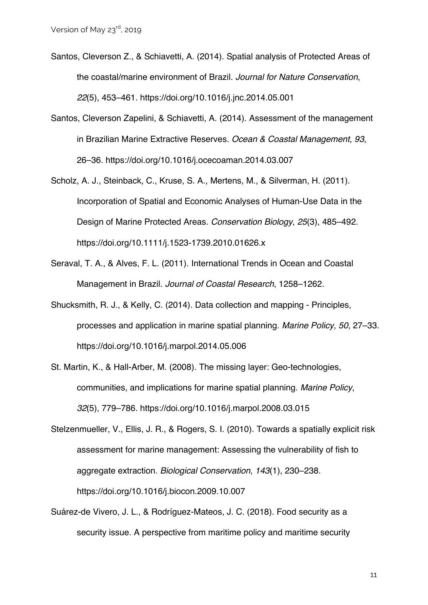- Santos, Cleverson Z., & Schiavetti, A. (2014). Spatial analysis of Protected Areas of the coastal/marine environment of Brazil. *Journal for Nature Conservation*, *22*(5), 453–461. https://doi.org/10.1016/j.jnc.2014.05.001
- Santos, Cleverson Zapelini, & Schiavetti, A. (2014). Assessment of the management in Brazilian Marine Extractive Reserves. *Ocean & Coastal Management*, *93*, 26–36. https://doi.org/10.1016/j.ocecoaman.2014.03.007
- Scholz, A. J., Steinback, C., Kruse, S. A., Mertens, M., & Silverman, H. (2011). Incorporation of Spatial and Economic Analyses of Human-Use Data in the Design of Marine Protected Areas. *Conservation Biology*, *25*(3), 485–492. https://doi.org/10.1111/j.1523-1739.2010.01626.x
- Seraval, T. A., & Alves, F. L. (2011). International Trends in Ocean and Coastal Management in Brazil. *Journal of Coastal Research*, 1258–1262.
- Shucksmith, R. J., & Kelly, C. (2014). Data collection and mapping Principles, processes and application in marine spatial planning. *Marine Policy*, *50*, 27–33. https://doi.org/10.1016/j.marpol.2014.05.006
- St. Martin, K., & Hall-Arber, M. (2008). The missing layer: Geo-technologies, communities, and implications for marine spatial planning. *Marine Policy*, *32*(5), 779–786. https://doi.org/10.1016/j.marpol.2008.03.015
- Stelzenmueller, V., Ellis, J. R., & Rogers, S. I. (2010). Towards a spatially explicit risk assessment for marine management: Assessing the vulnerability of fish to aggregate extraction. *Biological Conservation*, *143*(1), 230–238. https://doi.org/10.1016/j.biocon.2009.10.007
- Suárez-de Vivero, J. L., & Rodríguez-Mateos, J. C. (2018). Food security as a security issue. A perspective from maritime policy and maritime security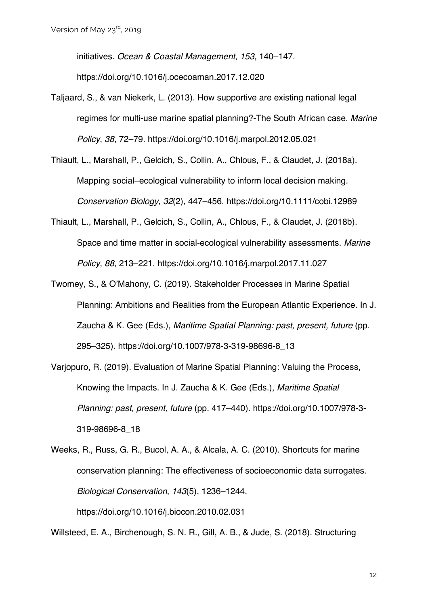initiatives. *Ocean & Coastal Management*, *153*, 140–147. https://doi.org/10.1016/j.ocecoaman.2017.12.020

- Taljaard, S., & van Niekerk, L. (2013). How supportive are existing national legal regimes for multi-use marine spatial planning?-The South African case. *Marine Policy*, *38*, 72–79. https://doi.org/10.1016/j.marpol.2012.05.021
- Thiault, L., Marshall, P., Gelcich, S., Collin, A., Chlous, F., & Claudet, J. (2018a). Mapping social–ecological vulnerability to inform local decision making. *Conservation Biology*, *32*(2), 447–456. https://doi.org/10.1111/cobi.12989
- Thiault, L., Marshall, P., Gelcich, S., Collin, A., Chlous, F., & Claudet, J. (2018b). Space and time matter in social-ecological vulnerability assessments. *Marine Policy*, *88*, 213–221. https://doi.org/10.1016/j.marpol.2017.11.027
- Twomey, S., & O'Mahony, C. (2019). Stakeholder Processes in Marine Spatial Planning: Ambitions and Realities from the European Atlantic Experience. In J. Zaucha & K. Gee (Eds.), *Maritime Spatial Planning: past, present, future* (pp. 295–325). https://doi.org/10.1007/978-3-319-98696-8\_13
- Varjopuro, R. (2019). Evaluation of Marine Spatial Planning: Valuing the Process, Knowing the Impacts. In J. Zaucha & K. Gee (Eds.), *Maritime Spatial Planning: past, present, future* (pp. 417–440). https://doi.org/10.1007/978-3- 319-98696-8\_18
- Weeks, R., Russ, G. R., Bucol, A. A., & Alcala, A. C. (2010). Shortcuts for marine conservation planning: The effectiveness of socioeconomic data surrogates. *Biological Conservation*, *143*(5), 1236–1244. https://doi.org/10.1016/j.biocon.2010.02.031

Willsteed, E. A., Birchenough, S. N. R., Gill, A. B., & Jude, S. (2018). Structuring